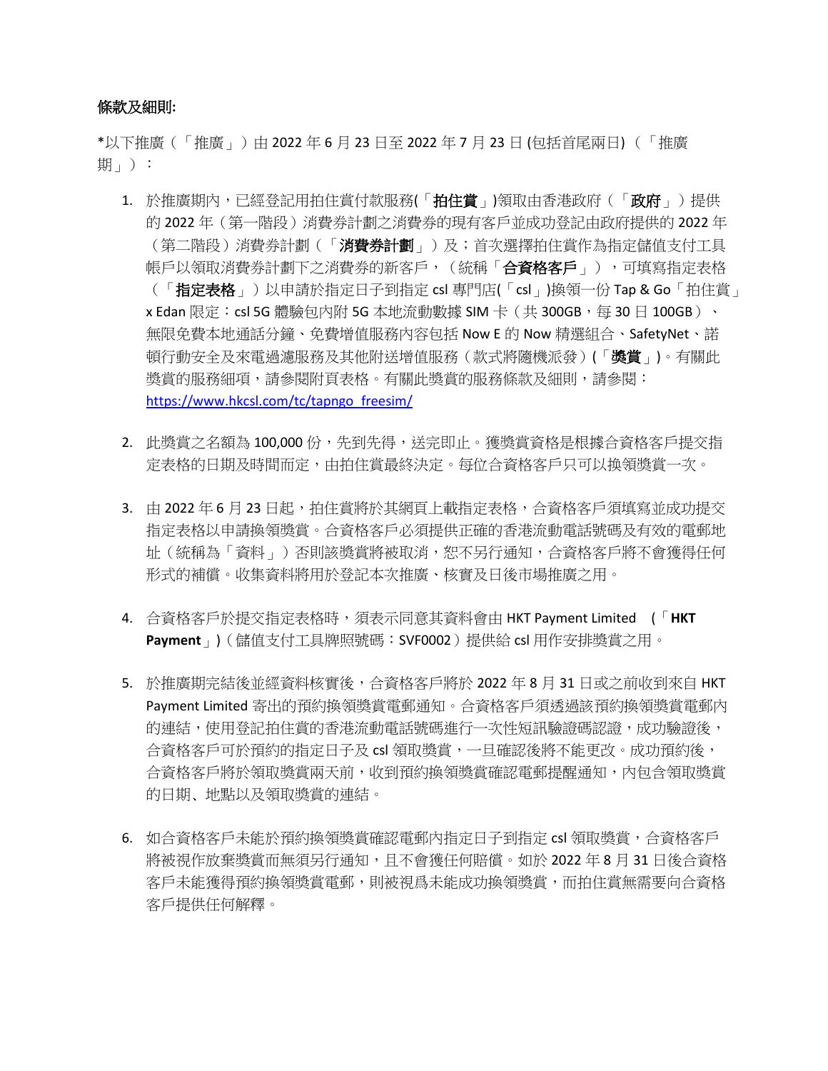## 條款及細則**:**

\*以下推廣(「推廣」)由 2022 年 6 月 23 日至 2022 年 7 月 23 日 (包括首尾兩日) (「推廣 期 $\vert$  ) :

- 1. 於推廣期內,已經登記用拍住賞付款服務(「拍住賞」)領取由香港政府(「政府」)提供 的 2022 年(第一階段)消費券計劃之消費券的現有客戶並成功登記由政府提供的 2022 年 (第二階段)消費券計劃(「消費券計劃」)及;首次選擇拍住賞作為指定儲值支付工具 帳戶以領取消費券計劃下之消費券的新客戶,(統稱「合資格客戶」),可填寫指定表格 (「指定表格」)以申請於指定日子到指定 csl 專門店(「csl」)換領一份 Tap & Go「拍住賞」 x Edan 限定: csl 5G 體驗包內附 5G 本地流動數據 SIM 卡 (共 300GB,每 30 日 100GB)、 無限免費本地通話分鐘、免費增值服務內容包括 Now E 的 Now 精選組合、SafetyNet、諾 頓行動安全及來電過濾服務及其他附送增值服務(款式將隨機派發)(「**獎賞**」)。有關此 獎賞的服務細項,請參閱附頁表格。有關此獎賞的服務條款及細則,請參閱: [https://www.hkcsl.com/tc/tapngo\\_freesim/](https://www.hkcsl.com/tc/tapngo_freesim/)
- 2. 此獎賞之名額為 100,000份,先到先得,送完即止。獲獎賞資格是根據合資格客戶提交指 定表格的日期及時間而定,由拍住賞最終決定。每位合資格客戶只可以换領獎賞一次。
- 3. 由 2022 年 6 月 23 日起,拍住賞將於其網頁上載指定表格,合資格客戶須填寫並成功提交 指定表格以申請換領獎賞。合資格客戶必須提供正確的香港流動電話號碼及有效的電郵地 址(統稱為「資料」)否則該獎賞將被取消,恕不另行通知,合資格客戶將不會獲得任何 形式的補償。收集資料將用於登記本次推廣、核實及日後市場推廣之用。
- 4. 合資格客戶於提交指定表格時,須表示同意其資料會由 HKT Payment Limited (「**HKT Payment**」)(儲值支付工具牌照號碼:SVF0002)提供給 csl 用作安排獎賞之用。
- 5. 於推廣期完結後並經資料核實後,合資格客戶將於 2022 年 8 月 31 日或之前收到來自 HKT Payment Limited 寄出的預約換領獎賞電郵通知。合資格客戶須透過該預約換領獎賞電郵內 的連結,使用登記拍住賞的香港流動電話號碼進行一次性短訊驗證碼認證,成功驗證後, 合資格客戶可於預約的指定日子及 csl 領取獎賞,一旦確認後將不能更改。成功預約後, 合資格客戶將於領取獎賞兩天前,收到預約換領獎賞確認電郵提醒通知,內包含領取獎賞 的日期﹑地點以及領取獎賞的連結。
- 6. 如合資格客戶未能於預約換領獎賞確認電郵內指定日子到指定 csl 領取獎賞,合資格客戶 將被視作放棄獎賞而無須另行通知,且不會獲任何賠償。如於 2022 年 8 月 31 日後合資格 客戶未能獲得預約換領獎賞電郵,則被視爲未能成功換領獎賞,而拍住賞無需要向合資格 客戶提供任何解釋。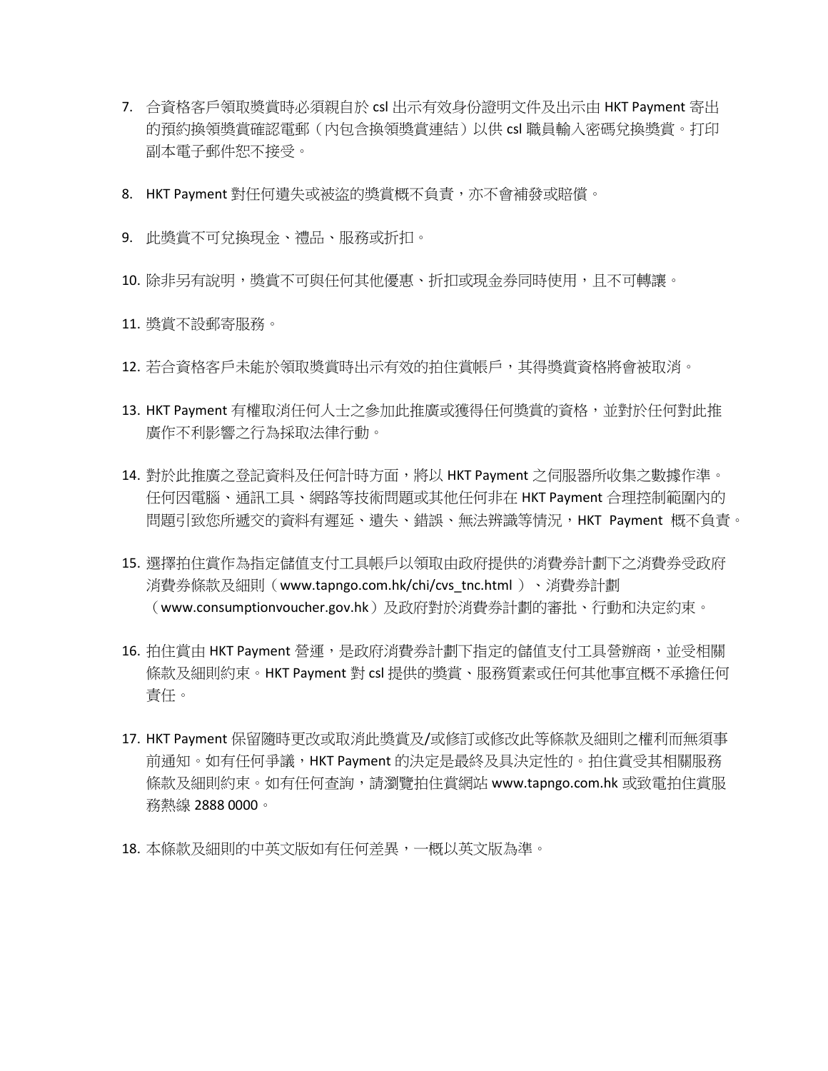- 7. 合資格客戶領取奬賞時必須親自於 csl 出示有效身份證明文件及出示由 HKT Payment 寄出 的預約換領獎賞確認電郵(內包含換領獎賞連結)以供 csl 職員輸入密碼兌換獎賞。打印 副本電子郵件恕不接受。
- 8. HKT Payment 對任何遺失或被盜的獎賞概不負責,亦不會補發或賠償。
- 9. 此獎賞不可兌換現金、禮品、服務或折扣。
- 10. 除非另有說明,獎賞不可與任何其他優惠、折扣或現金券同時使用,且不可轉讓。
- 11. 獎賞不設郵寄服務。
- 12. 若合資格客戶未能於領取奬賞時出示有效的拍住賞帳戶,其得獎賞資格將會被取消。
- 13. HKT Payment 有權取消任何人士之參加此推廣或獲得任何獎賞的資格, 並對於任何對此推 廣作不利影響之行為採取法律行動。
- 14. 對於此推廣之登記資料及任何計時方面,將以 HKT Payment 之伺服器所收集之數據作準。 任何因電腦、通訊工具、網路等技術問題或其他任何非在 HKT Payment 合理控制範圍內的 問題引致您所遞交的資料有遲延、遺失、錯誤、無法辨識等情況,HKT Payment 概不負責。
- 15. 選擇拍住賞作為指定儲值支付工具帳戶以領取由政府提供的消費券計劃下之消費券受政府 消費券條款及細則(www.tapngo.com.hk/chi/cvs\_tnc.html )、消費券計劃 (www.consumptionvoucher.gov.hk)及政府對於消費券計劃的審批、行動和決定約束。
- 16. 拍住賞由 HKT Payment 營運,是政府消費券計劃下指定的儲值支付工具營辦商,並受相關 條款及細則約束。HKT Payment 對 csl 提供的獎賞、服務質素或任何其他事宜概不承擔任何 責任。
- 17. HKT Payment 保留隨時更改或取消此獎賞及/或修訂或修改此等條款及細則之權利而無須事 前通知。如有任何爭議,HKT Payment 的決定是最終及具決定性的。拍住賞受其相關服務 條款及細則約束。如有任何查詢,請瀏覽拍住賞網站 www.tapngo.com.hk 或致電拍住賞服 務熱線 2888 0000。
- 18. 本條款及細則的中英文版如有任何差異,一概以英文版為準。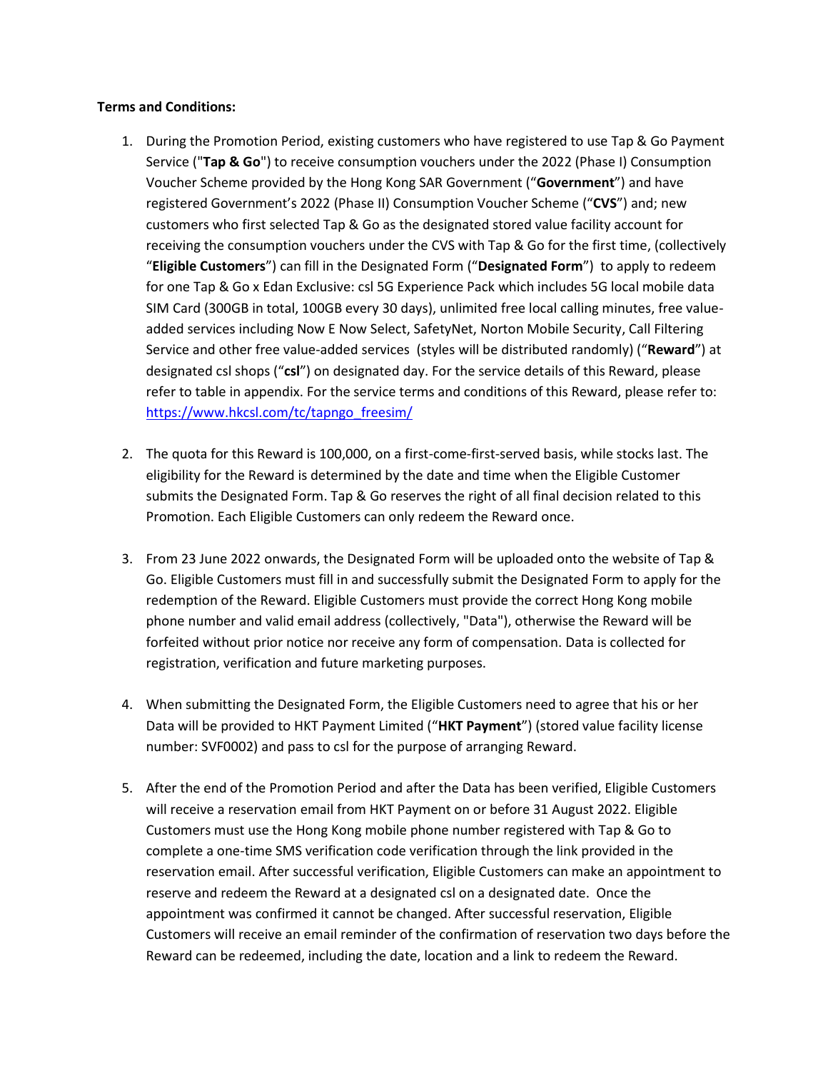## **Terms and Conditions:**

- 1. During the Promotion Period, existing customers who have registered to use Tap & Go Payment Service ("**Tap & Go**") to receive consumption vouchers under the 2022 (Phase I) Consumption Voucher Scheme provided by the Hong Kong SAR Government ("**Government**") and have registered Government's 2022 (Phase II) Consumption Voucher Scheme ("**CVS**") and; new customers who first selected Tap & Go as the designated stored value facility account for receiving the consumption vouchers under the CVS with Tap & Go for the first time, (collectively "**Eligible Customers**") can fill in the Designated Form ("**Designated Form**") to apply to redeem for one Tap & Go x Edan Exclusive: csl 5G Experience Pack which includes 5G local mobile data SIM Card (300GB in total, 100GB every 30 days), unlimited free local calling minutes, free valueadded services including Now E Now Select, SafetyNet, Norton Mobile Security, Call Filtering Service and other free value-added services (styles will be distributed randomly) ("**Reward**") at designated csl shops ("**csl**") on designated day. For the service details of this Reward, please refer to table in appendix. For the service terms and conditions of this Reward, please refer to: [https://www.hkcsl.com/tc/tapngo\\_freesim/](https://www.hkcsl.com/tc/tapngo_freesim/)
- 2. The quota for this Reward is 100,000, on a first-come-first-served basis, while stocks last. The eligibility for the Reward is determined by the date and time when the Eligible Customer submits the Designated Form. Tap & Go reserves the right of all final decision related to this Promotion. Each Eligible Customers can only redeem the Reward once.
- 3. From 23 June 2022 onwards, the Designated Form will be uploaded onto the website of Tap & Go. Eligible Customers must fill in and successfully submit the Designated Form to apply for the redemption of the Reward. Eligible Customers must provide the correct Hong Kong mobile phone number and valid email address (collectively, "Data"), otherwise the Reward will be forfeited without prior notice nor receive any form of compensation. Data is collected for registration, verification and future marketing purposes.
- 4. When submitting the Designated Form, the Eligible Customers need to agree that his or her Data will be provided to HKT Payment Limited ("**HKT Payment**") (stored value facility license number: SVF0002) and pass to csl for the purpose of arranging Reward.
- 5. After the end of the Promotion Period and after the Data has been verified, Eligible Customers will receive a reservation email from HKT Payment on or before 31 August 2022. Eligible Customers must use the Hong Kong mobile phone number registered with Tap & Go to complete a one-time SMS verification code verification through the link provided in the reservation email. After successful verification, Eligible Customers can make an appointment to reserve and redeem the Reward at a designated csl on a designated date. Once the appointment was confirmed it cannot be changed. After successful reservation, Eligible Customers will receive an email reminder of the confirmation of reservation two days before the Reward can be redeemed, including the date, location and a link to redeem the Reward.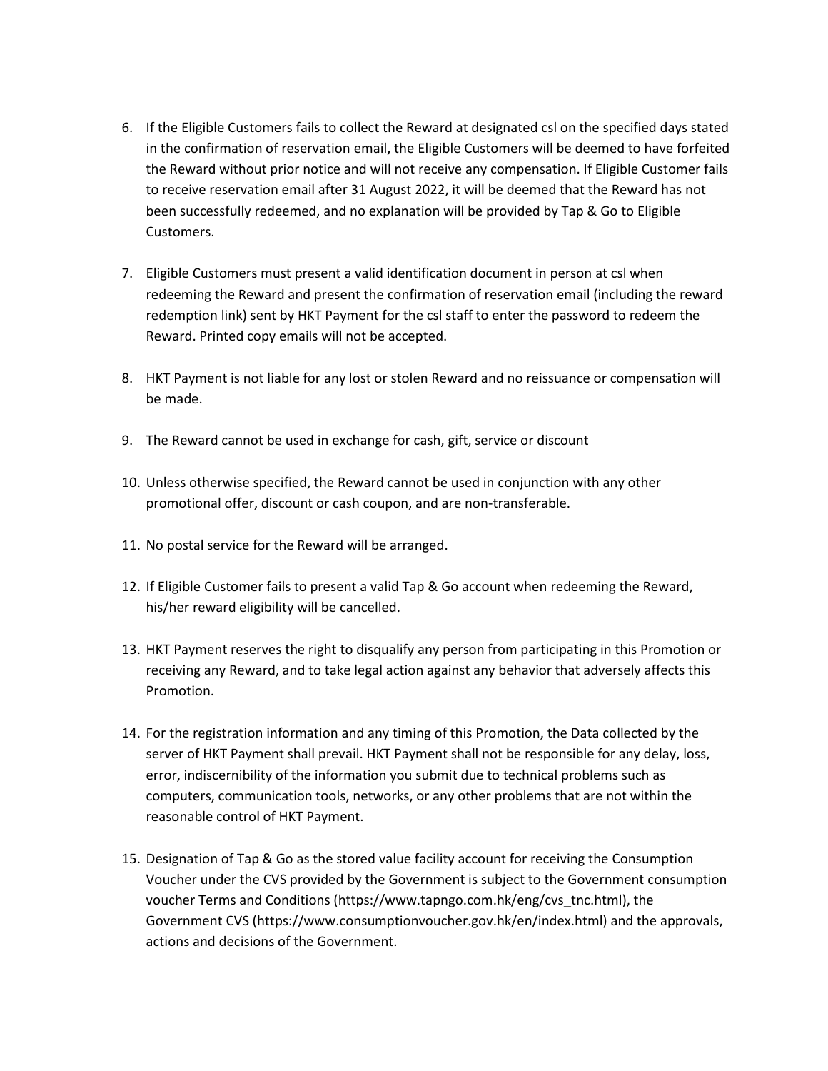- 6. If the Eligible Customers fails to collect the Reward at designated csl on the specified days stated in the confirmation of reservation email, the Eligible Customers will be deemed to have forfeited the Reward without prior notice and will not receive any compensation. If Eligible Customer fails to receive reservation email after 31 August 2022, it will be deemed that the Reward has not been successfully redeemed, and no explanation will be provided by Tap & Go to Eligible Customers.
- 7. Eligible Customers must present a valid identification document in person at csl when redeeming the Reward and present the confirmation of reservation email (including the reward redemption link) sent by HKT Payment for the csl staff to enter the password to redeem the Reward. Printed copy emails will not be accepted.
- 8. HKT Payment is not liable for any lost or stolen Reward and no reissuance or compensation will be made.
- 9. The Reward cannot be used in exchange for cash, gift, service or discount
- 10. Unless otherwise specified, the Reward cannot be used in conjunction with any other promotional offer, discount or cash coupon, and are non-transferable.
- 11. No postal service for the Reward will be arranged.
- 12. If Eligible Customer fails to present a valid Tap & Go account when redeeming the Reward, his/her reward eligibility will be cancelled.
- 13. HKT Payment reserves the right to disqualify any person from participating in this Promotion or receiving any Reward, and to take legal action against any behavior that adversely affects this Promotion.
- 14. For the registration information and any timing of this Promotion, the Data collected by the server of HKT Payment shall prevail. HKT Payment shall not be responsible for any delay, loss, error, indiscernibility of the information you submit due to technical problems such as computers, communication tools, networks, or any other problems that are not within the reasonable control of HKT Payment.
- 15. Designation of Tap & Go as the stored value facility account for receiving the Consumption Voucher under the CVS provided by the Government is subject to the Government consumption voucher Terms and Conditions (https://www.tapngo.com.hk/eng/cvs\_tnc.html), the Government CVS (https://www.consumptionvoucher.gov.hk/en/index.html) and the approvals, actions and decisions of the Government.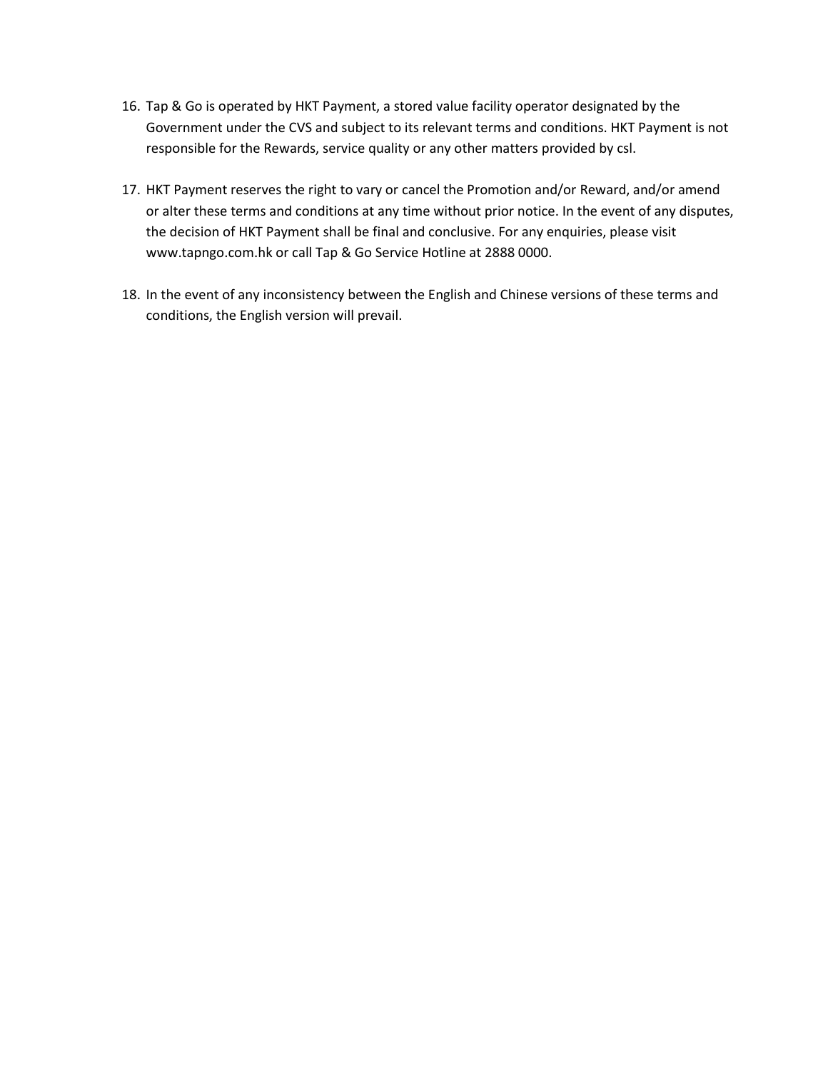- 16. Tap & Go is operated by HKT Payment, a stored value facility operator designated by the Government under the CVS and subject to its relevant terms and conditions. HKT Payment is not responsible for the Rewards, service quality or any other matters provided by csl.
- 17. HKT Payment reserves the right to vary or cancel the Promotion and/or Reward, and/or amend or alter these terms and conditions at any time without prior notice. In the event of any disputes, the decision of HKT Payment shall be final and conclusive. For any enquiries, please visit www.tapngo.com.hk or call Tap & Go Service Hotline at 2888 0000.
- 18. In the event of any inconsistency between the English and Chinese versions of these terms and conditions, the English version will prevail.